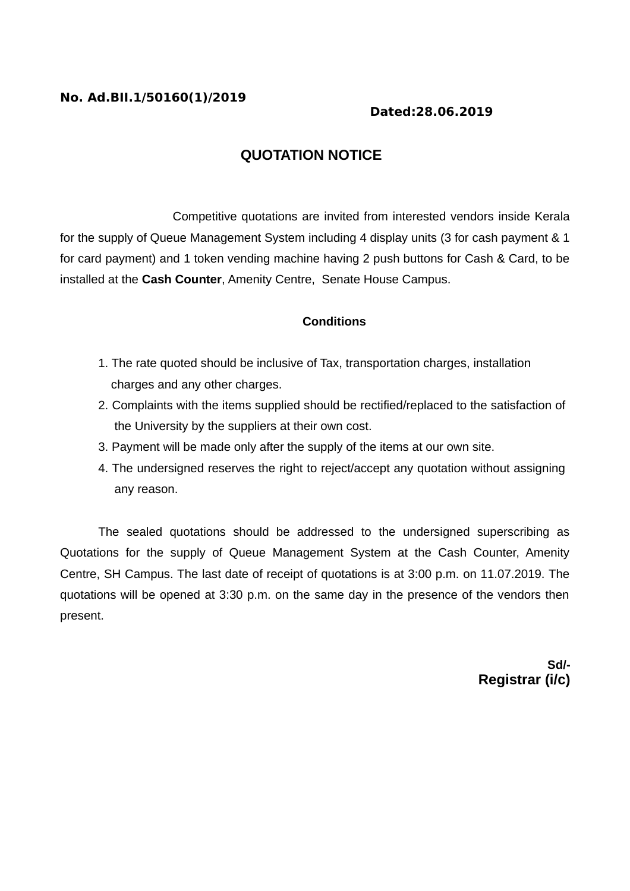## **No. Ad.BII.1/50160(1)/2019**

## **Dated:28.06.2019**

# **QUOTATION NOTICE**

Competitive quotations are invited from interested vendors inside Kerala for the supply of Queue Management System including 4 display units (3 for cash payment & 1 for card payment) and 1 token vending machine having 2 push buttons for Cash & Card, to be installed at the **Cash Counter**, Amenity Centre, Senate House Campus.

### **Conditions**

- 1. The rate quoted should be inclusive of Tax, transportation charges, installation charges and any other charges.
- 2. Complaints with the items supplied should be rectified/replaced to the satisfaction of the University by the suppliers at their own cost.
- 3. Payment will be made only after the supply of the items at our own site.
- 4. The undersigned reserves the right to reject/accept any quotation without assigning any reason.

The sealed quotations should be addressed to the undersigned superscribing as Quotations for the supply of Queue Management System at the Cash Counter, Amenity Centre, SH Campus. The last date of receipt of quotations is at 3:00 p.m. on 11.07.2019. The quotations will be opened at 3:30 p.m. on the same day in the presence of the vendors then present.

> **Sd/- Registrar (i/c)**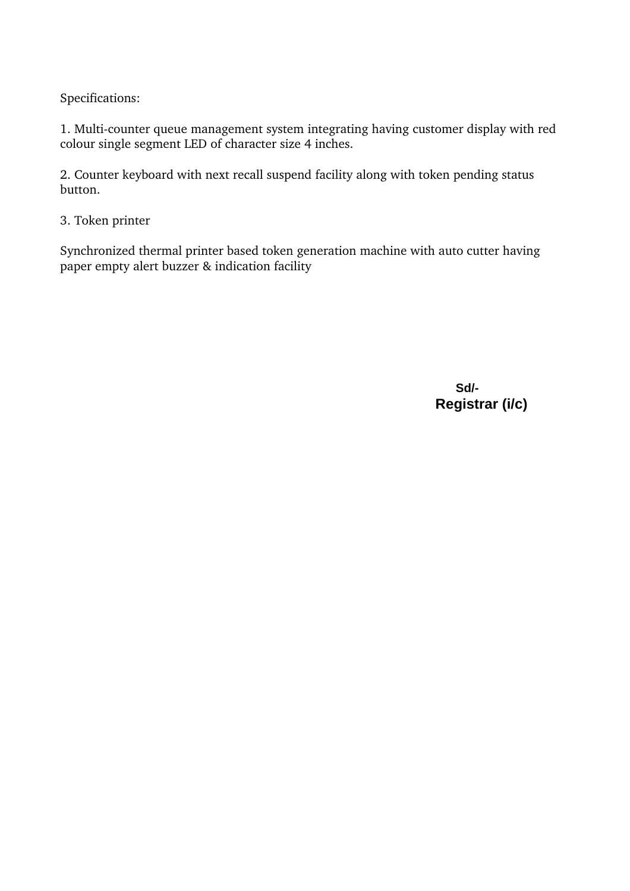Specifications:

1. Multi-counter queue management system integrating having customer display with red colour single segment LED of character size 4 inches.

2. Counter keyboard with next recall suspend facility along with token pending status button.

3. Token printer

Synchronized thermal printer based token generation machine with auto cutter having paper empty alert buzzer & indication facility

> **Sd/- Registrar (i/c)**